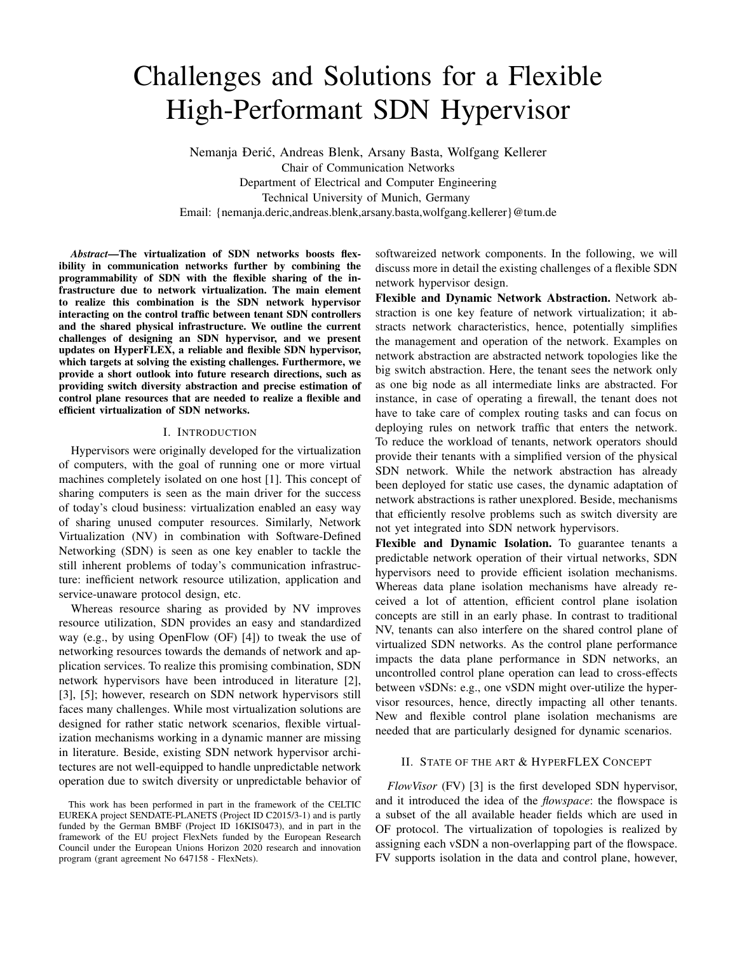# Challenges and Solutions for a Flexible High-Performant SDN Hypervisor

Nemanja Ðeric, Andreas Blenk, Arsany Basta, Wolfgang Kellerer ´ Chair of Communication Networks Department of Electrical and Computer Engineering Technical University of Munich, Germany Email: {nemanja.deric,andreas.blenk,arsany.basta,wolfgang.kellerer}@tum.de

*Abstract*—The virtualization of SDN networks boosts flexibility in communication networks further by combining the programmability of SDN with the flexible sharing of the infrastructure due to network virtualization. The main element to realize this combination is the SDN network hypervisor interacting on the control traffic between tenant SDN controllers and the shared physical infrastructure. We outline the current challenges of designing an SDN hypervisor, and we present updates on HyperFLEX, a reliable and flexible SDN hypervisor, which targets at solving the existing challenges. Furthermore, we provide a short outlook into future research directions, such as providing switch diversity abstraction and precise estimation of control plane resources that are needed to realize a flexible and efficient virtualization of SDN networks.

#### I. INTRODUCTION

Hypervisors were originally developed for the virtualization of computers, with the goal of running one or more virtual machines completely isolated on one host [1]. This concept of sharing computers is seen as the main driver for the success of today's cloud business: virtualization enabled an easy way of sharing unused computer resources. Similarly, Network Virtualization (NV) in combination with Software-Defined Networking (SDN) is seen as one key enabler to tackle the still inherent problems of today's communication infrastructure: inefficient network resource utilization, application and service-unaware protocol design, etc.

Whereas resource sharing as provided by NV improves resource utilization, SDN provides an easy and standardized way (e.g., by using OpenFlow (OF) [4]) to tweak the use of networking resources towards the demands of network and application services. To realize this promising combination, SDN network hypervisors have been introduced in literature [2], [3], [5]; however, research on SDN network hypervisors still faces many challenges. While most virtualization solutions are designed for rather static network scenarios, flexible virtualization mechanisms working in a dynamic manner are missing in literature. Beside, existing SDN network hypervisor architectures are not well-equipped to handle unpredictable network operation due to switch diversity or unpredictable behavior of softwareized network components. In the following, we will discuss more in detail the existing challenges of a flexible SDN network hypervisor design.

Flexible and Dynamic Network Abstraction. Network abstraction is one key feature of network virtualization; it abstracts network characteristics, hence, potentially simplifies the management and operation of the network. Examples on network abstraction are abstracted network topologies like the big switch abstraction. Here, the tenant sees the network only as one big node as all intermediate links are abstracted. For instance, in case of operating a firewall, the tenant does not have to take care of complex routing tasks and can focus on deploying rules on network traffic that enters the network. To reduce the workload of tenants, network operators should provide their tenants with a simplified version of the physical SDN network. While the network abstraction has already been deployed for static use cases, the dynamic adaptation of network abstractions is rather unexplored. Beside, mechanisms that efficiently resolve problems such as switch diversity are not yet integrated into SDN network hypervisors.

Flexible and Dynamic Isolation. To guarantee tenants a predictable network operation of their virtual networks, SDN hypervisors need to provide efficient isolation mechanisms. Whereas data plane isolation mechanisms have already received a lot of attention, efficient control plane isolation concepts are still in an early phase. In contrast to traditional NV, tenants can also interfere on the shared control plane of virtualized SDN networks. As the control plane performance impacts the data plane performance in SDN networks, an uncontrolled control plane operation can lead to cross-effects between vSDNs: e.g., one vSDN might over-utilize the hypervisor resources, hence, directly impacting all other tenants. New and flexible control plane isolation mechanisms are needed that are particularly designed for dynamic scenarios.

# II. STATE OF THE ART & HYPERFLEX CONCEPT

*FlowVisor* (FV) [3] is the first developed SDN hypervisor, and it introduced the idea of the *flowspace*: the flowspace is a subset of the all available header fields which are used in OF protocol. The virtualization of topologies is realized by assigning each vSDN a non-overlapping part of the flowspace. FV supports isolation in the data and control plane, however,

This work has been performed in part in the framework of the CELTIC EUREKA project SENDATE-PLANETS (Project ID C2015/3-1) and is partly funded by the German BMBF (Project ID 16KIS0473), and in part in the framework of the EU project FlexNets funded by the European Research Council under the European Unions Horizon 2020 research and innovation program (grant agreement No 647158 - FlexNets).